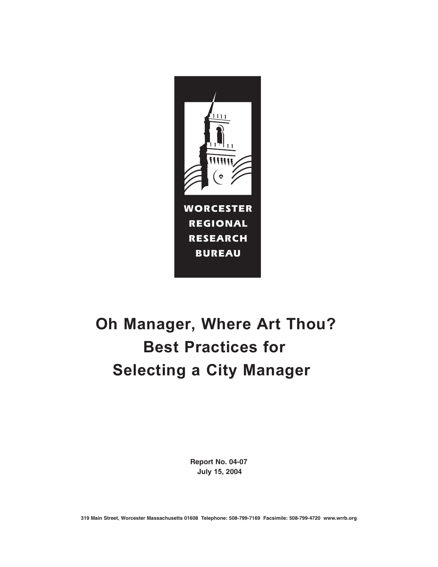

# **Oh Manager, Where Art Thou? Best Practices for Selecting a City Manager**

**Report No. 04-07 July 15, 2004**

**319 Main Street, Worcester Massachusetts 01608 Telephone: 508-799-7169 Facsimile: 508-799-4720 www.wrrb.org**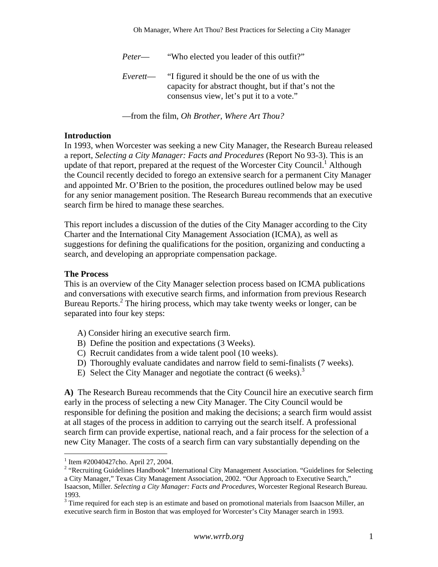*Peter*— "Who elected you leader of this outfit?"

*Everett*— "I figured it should be the one of us with the capacity for abstract thought, but if that's not the consensus view, let's put it to a vote."

—from the film, *Oh Brother, Where Art Thou?* 

#### **Introduction**

In 1993, when Worcester was seeking a new City Manager, the Research Bureau released a report, *Selecting a City Manager: Facts and Procedures* (Report No 93-3). This is an update of that report, prepared at the request of the Worcester City Council.<sup>[1](#page-1-0)</sup> Although the Council recently decided to forego an extensive search for a permanent City Manager and appointed Mr. O'Brien to the position, the procedures outlined below may be used for any senior management position. The Research Bureau recommends that an executive search firm be hired to manage these searches.

This report includes a discussion of the duties of the City Manager according to the City Charter and the International City Management Association (ICMA), as well as suggestions for defining the qualifications for the position, organizing and conducting a search, and developing an appropriate compensation package.

#### **The Process**

This is an overview of the City Manager selection process based on ICMA publications and conversations with executive search firms, and information from previous Research Bureau Reports.<sup>2</sup> The hiring process, which may take twenty weeks or longer, can be separated into four key steps:

- A) Consider hiring an executive search firm.
- B) Define the position and expectations (3 Weeks).
- C) Recruit candidates from a wide talent pool (10 weeks).
- D) Thoroughly evaluate candidates and narrow field to semi-finalists (7 weeks).
- E) Select the City Manager and negotiate the contract  $(6 \text{ weeks})$ .<sup>[3](#page-1-2)</sup>

**A)** The Research Bureau recommends that the City Council hire an executive search firm early in the process of selecting a new City Manager. The City Council would be responsible for defining the position and making the decisions; a search firm would assist at all stages of the process in addition to carrying out the search itself. A professional search firm can provide expertise, national reach, and a fair process for the selection of a new City Manager. The costs of a search firm can vary substantially depending on the

<span id="page-1-0"></span> $1$  Item #20040427cho. April 27, 2004.

<span id="page-1-1"></span><sup>&</sup>lt;sup>2</sup> "Recruiting Guidelines Handbook" International City Management Association. "Guidelines for Selecting a City Manager," Texas City Management Association, 2002. "Our Approach to Executive Search," Isaacson, Miller. *Selecting a City Manager: Facts and Procedures*, Worcester Regional Research Bureau. 1993.

<span id="page-1-2"></span><sup>&</sup>lt;sup>3</sup> Time required for each step is an estimate and based on promotional materials from Isaacson Miller, an executive search firm in Boston that was employed for Worcester's City Manager search in 1993.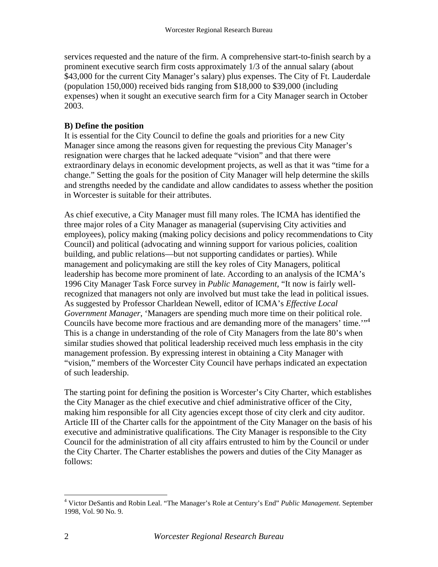services requested and the nature of the firm. A comprehensive start-to-finish search by a prominent executive search firm costs approximately 1/3 of the annual salary (about \$43,000 for the current City Manager's salary) plus expenses. The City of Ft. Lauderdale (population 150,000) received bids ranging from \$18,000 to \$39,000 (including expenses) when it sought an executive search firm for a City Manager search in October 2003.

# **B) Define the position**

It is essential for the City Council to define the goals and priorities for a new City Manager since among the reasons given for requesting the previous City Manager's resignation were charges that he lacked adequate "vision" and that there were extraordinary delays in economic development projects, as well as that it was "time for a change." Setting the goals for the position of City Manager will help determine the skills and strengths needed by the candidate and allow candidates to assess whether the position in Worcester is suitable for their attributes.

As chief executive, a City Manager must fill many roles. The ICMA has identified the three major roles of a City Manager as managerial (supervising City activities and employees), policy making (making policy decisions and policy recommendations to City Council) and political (advocating and winning support for various policies, coalition building, and public relations—but not supporting candidates or parties). While management and policymaking are still the key roles of City Managers, political leadership has become more prominent of late. According to an analysis of the ICMA's 1996 City Manager Task Force survey in *Public Management*, "It now is fairly wellrecognized that managers not only are involved but must take the lead in political issues. As suggested by Professor Charldean Newell, editor of ICMA's *Effective Local Government Manager*, 'Managers are spending much more time on their political role. Councils have become more fractious and are demanding more of the managers' time."<sup>[4](#page-2-0)</sup> This is a change in understanding of the role of City Managers from the late 80's when similar studies showed that political leadership received much less emphasis in the city management profession. By expressing interest in obtaining a City Manager with "vision," members of the Worcester City Council have perhaps indicated an expectation of such leadership.

The starting point for defining the position is Worcester's City Charter, which establishes the City Manager as the chief executive and chief administrative officer of the City, making him responsible for all City agencies except those of city clerk and city auditor. Article III of the Charter calls for the appointment of the City Manager on the basis of his executive and administrative qualifications. The City Manager is responsible to the City Council for the administration of all city affairs entrusted to him by the Council or under the City Charter. The Charter establishes the powers and duties of the City Manager as follows:

<span id="page-2-0"></span> $\frac{1}{4}$  Victor DeSantis and Robin Leal. "The Manager's Role at Century's End" *Public Management*. September 1998, Vol. 90 No. 9.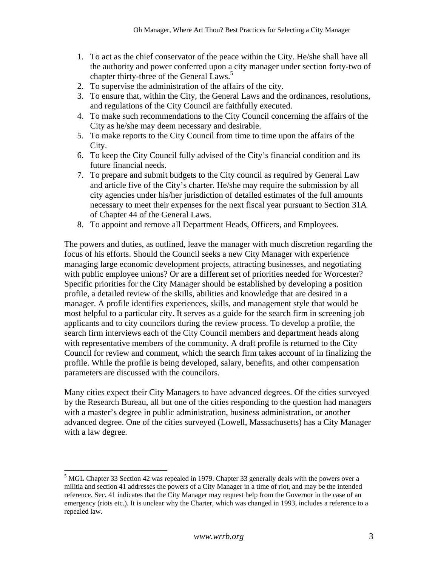- 1. To act as the chief conservator of the peace within the City. He/she shall have all the authority and power conferred upon a city manager under section forty-two of chapter thirty-three of the General Laws.<sup>[5](#page-3-0)</sup>
- 2. To supervise the administration of the affairs of the city.
- 3. To ensure that, within the City, the General Laws and the ordinances, resolutions, and regulations of the City Council are faithfully executed.
- 4. To make such recommendations to the City Council concerning the affairs of the City as he/she may deem necessary and desirable.
- 5. To make reports to the City Council from time to time upon the affairs of the City.
- 6. To keep the City Council fully advised of the City's financial condition and its future financial needs.
- 7. To prepare and submit budgets to the City council as required by General Law and article five of the City's charter. He/she may require the submission by all city agencies under his/her jurisdiction of detailed estimates of the full amounts necessary to meet their expenses for the next fiscal year pursuant to Section 31A of Chapter 44 of the General Laws.
- 8. To appoint and remove all Department Heads, Officers, and Employees.

The powers and duties, as outlined, leave the manager with much discretion regarding the focus of his efforts. Should the Council seeks a new City Manager with experience managing large economic development projects, attracting businesses, and negotiating with public employee unions? Or are a different set of priorities needed for Worcester? Specific priorities for the City Manager should be established by developing a position profile, a detailed review of the skills, abilities and knowledge that are desired in a manager. A profile identifies experiences, skills, and management style that would be most helpful to a particular city. It serves as a guide for the search firm in screening job applicants and to city councilors during the review process. To develop a profile, the search firm interviews each of the City Council members and department heads along with representative members of the community. A draft profile is returned to the City Council for review and comment, which the search firm takes account of in finalizing the profile. While the profile is being developed, salary, benefits, and other compensation parameters are discussed with the councilors.

Many cities expect their City Managers to have advanced degrees. Of the cities surveyed by the Research Bureau, all but one of the cities responding to the question had managers with a master's degree in public administration, business administration, or another advanced degree. One of the cities surveyed (Lowell, Massachusetts) has a City Manager with a law degree.

<span id="page-3-0"></span> <sup>5</sup> MGL Chapter 33 Section 42 was repealed in 1979. Chapter 33 generally deals with the powers over a militia and section 41 addresses the powers of a City Manager in a time of riot, and may be the intended reference. Sec. 41 indicates that the City Manager may request help from the Governor in the case of an emergency (riots etc.). It is unclear why the Charter, which was changed in 1993, includes a reference to a repealed law.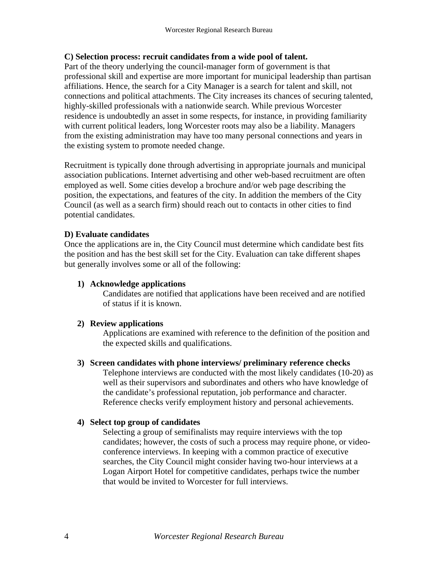# **C) Selection process: recruit candidates from a wide pool of talent.**

Part of the theory underlying the council-manager form of government is that professional skill and expertise are more important for municipal leadership than partisan affiliations. Hence, the search for a City Manager is a search for talent and skill, not connections and political attachments. The City increases its chances of securing talented, highly-skilled professionals with a nationwide search. While previous Worcester residence is undoubtedly an asset in some respects, for instance, in providing familiarity with current political leaders, long Worcester roots may also be a liability. Managers from the existing administration may have too many personal connections and years in the existing system to promote needed change.

Recruitment is typically done through advertising in appropriate journals and municipal association publications. Internet advertising and other web-based recruitment are often employed as well. Some cities develop a brochure and/or web page describing the position, the expectations, and features of the city. In addition the members of the City Council (as well as a search firm) should reach out to contacts in other cities to find potential candidates.

# **D) Evaluate candidates**

Once the applications are in, the City Council must determine which candidate best fits the position and has the best skill set for the City. Evaluation can take different shapes but generally involves some or all of the following:

### **1) Acknowledge applications**

Candidates are notified that applications have been received and are notified of status if it is known.

#### **2) Review applications**

Applications are examined with reference to the definition of the position and the expected skills and qualifications.

#### **3) Screen candidates with phone interviews/ preliminary reference checks**

Telephone interviews are conducted with the most likely candidates (10-20) as well as their supervisors and subordinates and others who have knowledge of the candidate's professional reputation, job performance and character. Reference checks verify employment history and personal achievements.

#### **4) Select top group of candidates**

Selecting a group of semifinalists may require interviews with the top candidates; however, the costs of such a process may require phone, or videoconference interviews. In keeping with a common practice of executive searches, the City Council might consider having two-hour interviews at a Logan Airport Hotel for competitive candidates, perhaps twice the number that would be invited to Worcester for full interviews.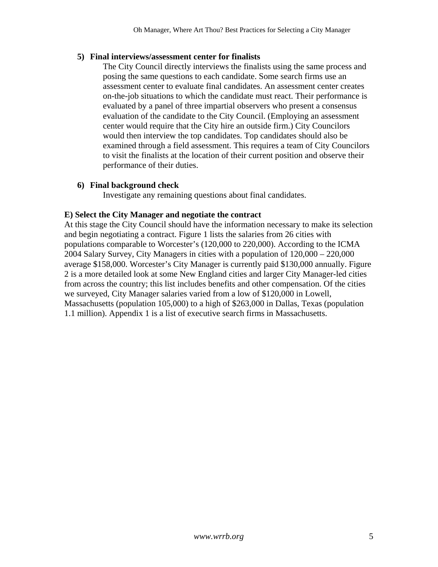# **5) Final interviews/assessment center for finalists**

The City Council directly interviews the finalists using the same process and posing the same questions to each candidate. Some search firms use an assessment center to evaluate final candidates. An assessment center creates on-the-job situations to which the candidate must react. Their performance is evaluated by a panel of three impartial observers who present a consensus evaluation of the candidate to the City Council. (Employing an assessment center would require that the City hire an outside firm.) City Councilors would then interview the top candidates. Top candidates should also be examined through a field assessment. This requires a team of City Councilors to visit the finalists at the location of their current position and observe their performance of their duties.

# **6) Final background check**

Investigate any remaining questions about final candidates.

# **E) Select the City Manager and negotiate the contract**

At this stage the City Council should have the information necessary to make its selection and begin negotiating a contract. Figure 1 lists the salaries from 26 cities with populations comparable to Worcester's (120,000 to 220,000). According to the ICMA 2004 Salary Survey, City Managers in cities with a population of 120,000 – 220,000 average \$158,000. Worcester's City Manager is currently paid \$130,000 annually. Figure 2 is a more detailed look at some New England cities and larger City Manager-led cities from across the country; this list includes benefits and other compensation. Of the cities we surveyed, City Manager salaries varied from a low of \$120,000 in Lowell, Massachusetts (population 105,000) to a high of \$263,000 in Dallas, Texas (population 1.1 million). Appendix 1 is a list of executive search firms in Massachusetts.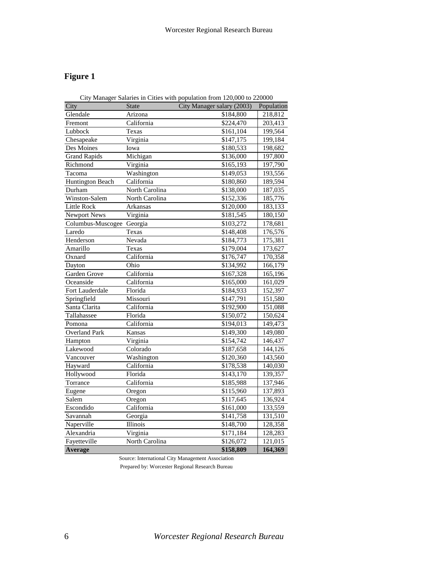# **Figure 1**

| City Manager Salaries in Cities with population from 120,000 to 220000 |                |                            |            |  |  |  |  |  |  |  |
|------------------------------------------------------------------------|----------------|----------------------------|------------|--|--|--|--|--|--|--|
| City                                                                   | <b>State</b>   | City Manager salary (2003) | Population |  |  |  |  |  |  |  |
| Glendale                                                               | Arizona        | \$184,800                  | 218,812    |  |  |  |  |  |  |  |
| Fremont                                                                | California     | \$224,470                  | 203,413    |  |  |  |  |  |  |  |
| Lubbock                                                                | Texas          | \$161,104                  | 199,564    |  |  |  |  |  |  |  |
| Chesapeake                                                             | Virginia       | \$147,175                  | 199,184    |  |  |  |  |  |  |  |
| Des Moines                                                             | Iowa           | \$180,533                  | 198,682    |  |  |  |  |  |  |  |
| <b>Grand Rapids</b>                                                    | Michigan       | \$136,000                  | 197,800    |  |  |  |  |  |  |  |
| Richmond                                                               | Virginia       | \$165,193                  | 197,790    |  |  |  |  |  |  |  |
| Tacoma                                                                 | Washington     | \$149,053                  | 193,556    |  |  |  |  |  |  |  |
| <b>Huntington Beach</b>                                                | California     | \$180,860                  | 189,594    |  |  |  |  |  |  |  |
| Durham                                                                 | North Carolina | \$138,000                  | 187,035    |  |  |  |  |  |  |  |
| Winston-Salem                                                          | North Carolina | \$152,336                  | 185,776    |  |  |  |  |  |  |  |
| <b>Little Rock</b>                                                     | Arkansas       | \$120,000                  | 183,133    |  |  |  |  |  |  |  |
| Newport News                                                           | Virginia       | \$181,545                  | 180,150    |  |  |  |  |  |  |  |
| Columbus-Muscogee                                                      | Georgia        | \$103,272                  | 178,681    |  |  |  |  |  |  |  |
| Laredo                                                                 | Texas          | \$148,408                  | 176,576    |  |  |  |  |  |  |  |
| Henderson                                                              | Nevada         | \$184,773                  | 175,381    |  |  |  |  |  |  |  |
| Amarillo                                                               | Texas          | \$179,004                  | 173,627    |  |  |  |  |  |  |  |
| Oxnard                                                                 | California     | \$176,747                  | 170,358    |  |  |  |  |  |  |  |
| Dayton                                                                 | Ohio           | \$134,992                  | 166,179    |  |  |  |  |  |  |  |
| Garden Grove                                                           | California     | \$167,328                  | 165,196    |  |  |  |  |  |  |  |
| Oceanside                                                              | California     | \$165,000                  | 161,029    |  |  |  |  |  |  |  |
| Fort Lauderdale                                                        | Florida        | \$184,933                  | 152,397    |  |  |  |  |  |  |  |
| Springfield                                                            | Missouri       | \$147,791                  | 151,580    |  |  |  |  |  |  |  |
| Santa Clarita                                                          | California     | \$192,900                  | 151,088    |  |  |  |  |  |  |  |
| Tallahassee                                                            | Florida        | \$150,072                  | 150,624    |  |  |  |  |  |  |  |
| Pomona                                                                 | California     | \$194,013                  | 149,473    |  |  |  |  |  |  |  |
| <b>Overland Park</b>                                                   | Kansas         | \$149,300                  | 149,080    |  |  |  |  |  |  |  |
| Hampton                                                                | Virginia       | \$154,742                  | 146,437    |  |  |  |  |  |  |  |
| Lakewood                                                               | Colorado       | \$187,658                  | 144,126    |  |  |  |  |  |  |  |
| Vancouver                                                              | Washington     | \$120,360                  | 143,560    |  |  |  |  |  |  |  |
| Hayward                                                                | California     | \$178,538                  | 140,030    |  |  |  |  |  |  |  |
| Hollywood                                                              | Florida        | \$143,170                  | 139,357    |  |  |  |  |  |  |  |
| Torrance                                                               | California     | \$185,988                  | 137,946    |  |  |  |  |  |  |  |
| Eugene                                                                 | Oregon         | \$115,960                  | 137,893    |  |  |  |  |  |  |  |
| Salem                                                                  | Oregon         | \$117,645                  | 136,924    |  |  |  |  |  |  |  |
| Escondido                                                              | California     | \$161,000                  | 133,559    |  |  |  |  |  |  |  |
| Savannah                                                               | Georgia        | \$141,758                  | 131,510    |  |  |  |  |  |  |  |
| Naperville                                                             | Illinois       | \$148,700                  | 128,358    |  |  |  |  |  |  |  |
| Alexandria                                                             | Virginia       | \$171,184                  | 128,283    |  |  |  |  |  |  |  |
| Fayetteville                                                           | North Carolina | \$126,072                  | 121,015    |  |  |  |  |  |  |  |
| Average                                                                |                | \$158,809                  | 164,369    |  |  |  |  |  |  |  |

Source: International City Management Association

Prepared by: Worcester Regional Research Bureau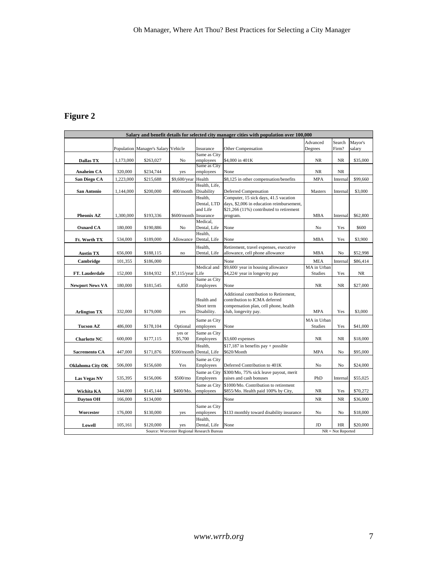# **Figure 2**

| Salary and benefit details for selected city manager cities with population over 100,000 |           |                                     |                   |                           |                                                                                       |                     |           |          |  |  |  |
|------------------------------------------------------------------------------------------|-----------|-------------------------------------|-------------------|---------------------------|---------------------------------------------------------------------------------------|---------------------|-----------|----------|--|--|--|
|                                                                                          |           |                                     |                   |                           |                                                                                       | Advanced            | Search    | Mayor's  |  |  |  |
|                                                                                          |           | Population Manager's Salary Vehicle |                   | Insurance                 | <b>Other Compensation</b>                                                             | Degrees             | Firm?     | salary   |  |  |  |
| Dallas TX                                                                                | 1,173,000 | \$263,027                           | No                | Same as City<br>employees | \$4,000 in 401K                                                                       | NR                  | NR        | \$35,000 |  |  |  |
|                                                                                          |           |                                     |                   | Same as City              |                                                                                       |                     |           |          |  |  |  |
| <b>Anaheim CA</b>                                                                        | 320,000   | \$234,744                           | yes               | employees                 | None                                                                                  | <b>NR</b>           | <b>NR</b> |          |  |  |  |
| San Diego CA                                                                             | 1,223,000 | \$215,688                           | \$9,600/year      | Health                    | \$8,125 in other compensation/benefits                                                | <b>MPA</b>          | Internal  | \$99,660 |  |  |  |
|                                                                                          |           |                                     |                   | Health, Life,             |                                                                                       |                     |           |          |  |  |  |
| San Antonio                                                                              | 1,144,000 | \$200,000                           | 400/month         | Disability                | <b>Deferred Compensation</b>                                                          | Masters             | Internal  | \$3,000  |  |  |  |
|                                                                                          |           |                                     |                   | Health,                   | Computer, 15 sick days, 41.5 vacation                                                 |                     |           |          |  |  |  |
|                                                                                          |           |                                     |                   | Dental, LTD<br>and Life   | days, \$2,006 in education reimbursement,<br>\$21,266 (11%) contributed to retirement |                     |           |          |  |  |  |
| <b>Pheonix AZ</b>                                                                        | 1.300,000 | \$193,336                           | \$600/month       | Insurance                 | program.                                                                              | <b>MBA</b>          | Internal  | \$62,800 |  |  |  |
|                                                                                          |           |                                     |                   | Medical,                  |                                                                                       |                     |           |          |  |  |  |
| <b>Oxnard CA</b>                                                                         | 180,000   | \$190,886                           | No                | Dental, Life              | None                                                                                  | No                  | Yes       | \$600    |  |  |  |
|                                                                                          |           |                                     |                   | Health.                   |                                                                                       |                     |           |          |  |  |  |
| Ft. Worth TX                                                                             | 534,000   | \$189,000                           | Allowance         | Dental, Life              | None                                                                                  | <b>MBA</b>          | Yes       | \$3,900  |  |  |  |
|                                                                                          |           |                                     |                   | Health,                   | Retirement, travel expenses, executive                                                |                     |           |          |  |  |  |
| <b>Austin TX</b>                                                                         | 656,000   | \$188,115                           | no                | Dental, Life              | allowance, cell phone allowance                                                       | <b>MBA</b>          | No        | \$52,998 |  |  |  |
| Cambridge                                                                                | 101,355   | \$186,000                           |                   |                           | None                                                                                  | <b>MEA</b>          | Internal  | \$86,414 |  |  |  |
|                                                                                          |           |                                     |                   | Medical and               | \$9,600/ year in housing allowance                                                    | MA in Urban         |           |          |  |  |  |
| FT. Lauderdale                                                                           | 152,000   | \$184,932                           | \$7,115/year Life |                           | \$4,224/ year in longevity pay                                                        | <b>Studies</b>      | Yes       | $\rm NR$ |  |  |  |
|                                                                                          |           |                                     |                   | Same as City              |                                                                                       |                     |           |          |  |  |  |
| <b>Newport News VA</b>                                                                   | 180,000   | \$181,545                           | 6,850             | Employees                 | None                                                                                  | NR                  | $\rm NR$  | \$27,000 |  |  |  |
|                                                                                          |           |                                     |                   |                           | Additional contribution to Retirement,                                                |                     |           |          |  |  |  |
|                                                                                          |           |                                     |                   | Health and                | contribution to ICMA deferred                                                         |                     |           |          |  |  |  |
|                                                                                          |           |                                     |                   | Short term                | compensation plan, cell phone, health                                                 |                     |           |          |  |  |  |
| <b>Arlington TX</b>                                                                      | 332,000   | \$179,000                           | yes               | Disability.               | club, longevity pay.                                                                  | <b>MPA</b>          | Yes       | \$3,000  |  |  |  |
|                                                                                          |           |                                     |                   | Same as City              |                                                                                       | MA in Urban         |           |          |  |  |  |
| <b>Tucson AZ</b>                                                                         | 486,000   | \$178,104                           | Optional          | employees                 | None                                                                                  | <b>Studies</b>      | Yes       | \$41,000 |  |  |  |
|                                                                                          |           |                                     | yes or            | Same as City              |                                                                                       |                     |           |          |  |  |  |
| <b>Charlotte NC</b>                                                                      | 600,000   | \$177,115                           | \$5,700           | Employees                 | \$3,600 expenses                                                                      | <b>NR</b>           | <b>NR</b> | \$18,000 |  |  |  |
|                                                                                          |           |                                     |                   | Health,                   | $$17,187$ in benefits pay + possible                                                  |                     |           |          |  |  |  |
| Sacremento CA                                                                            | 447,000   | \$171,876                           | \$500/month       | Dental, Life              | \$620/Month                                                                           | <b>MPA</b>          | No        | \$95,000 |  |  |  |
|                                                                                          |           |                                     |                   | Same as City              |                                                                                       |                     |           |          |  |  |  |
| Oklahoma City OK                                                                         | 506,000   | \$156,600                           | Yes               | Employees                 | Deferred Contribution to 401K                                                         | No                  | No        | \$24,000 |  |  |  |
|                                                                                          |           |                                     |                   | Same as City              | \$300/Mo, 75% sick leave payout, merit                                                |                     |           |          |  |  |  |
| <b>Las Vegas NV</b>                                                                      | 535,395   | \$156,006                           | \$500/mo          | Employees                 | raises and cash bonuses                                                               | PhD                 | Internal  | \$55,025 |  |  |  |
| Wichita KA                                                                               | 344,000   | \$145,144                           | \$400/Mo.         | Same as City<br>employees | \$1000/Mo. Contribution to retirement<br>\$855/Mo. Health paid 100% by City,          | NR.                 | Yes       | \$70,272 |  |  |  |
|                                                                                          |           |                                     |                   |                           |                                                                                       |                     |           |          |  |  |  |
| Dayton OH                                                                                | 166,000   | \$134,000                           |                   |                           | None                                                                                  | NR                  | $\rm NR$  | \$36,000 |  |  |  |
|                                                                                          |           |                                     |                   | Same as City              |                                                                                       |                     |           |          |  |  |  |
| Worcester                                                                                | 176,000   | \$130,000                           | yes               | employees                 | \$133 monthly toward disability insurance                                             | No                  | No        | \$18,000 |  |  |  |
|                                                                                          |           |                                     |                   | Health.                   |                                                                                       |                     |           |          |  |  |  |
| Lowell                                                                                   | 105,161   | \$120,000                           | yes               | Dental, Life              | None                                                                                  | JD                  | <b>HR</b> | \$20,000 |  |  |  |
| Source: Worcester Regional Research Bureau                                               |           |                                     |                   |                           |                                                                                       | $NR = Not$ Reported |           |          |  |  |  |